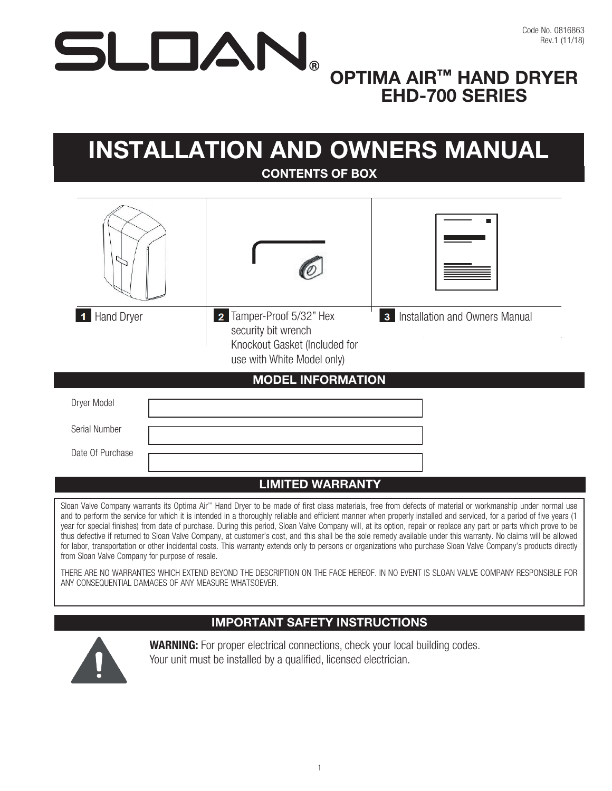# $\sum$

# OPTIMA AIR™ HAND DRYER EHD-700 SERIES

# INSTALLATION AND OWNERS MANUAL CONTENTS OF BOX



| Dryer Model      |  |
|------------------|--|
| Serial Number    |  |
| Date Of Purchase |  |

### LIMITED WARRANTY

Sloan Valve Company warrants its Optima Air™ Hand Dryer to be made of first class materials, free from defects of material or workmanship under normal use and to perform the service for which it is intended in a thoroughly reliable and efficient manner when properly installed and serviced, for a period of five years (1 year for special finishes) from date of purchase. During this period, Sloan Valve Company will, at its option, repair or replace any part or parts which prove to be thus defective if returned to Sloan Valve Company, at customer's cost, and this shall be the sole remedy available under this warranty. No claims will be allowed for labor, transportation or other incidental costs. This warranty extends only to persons or organizations who purchase Sloan Valve Company's products directly from Sloan Valve Company for purpose of resale.

THERE ARE NO WARRANTIES WHICH EXTEND BEYOND THE DESCRIPTION ON THE FACE HEREOF. IN NO EVENT IS SLOAN VALVE COMPANY RESPONSIBLE FOR ANY CONSEQUENTIAL DAMAGES OF ANY MEASURE WHATSOEVER.

### IMPORTANT SAFETY INSTRUCTIONS



WARNING: For proper electrical connections, check your local building codes. Your unit must be installed by a qualified, licensed electrician.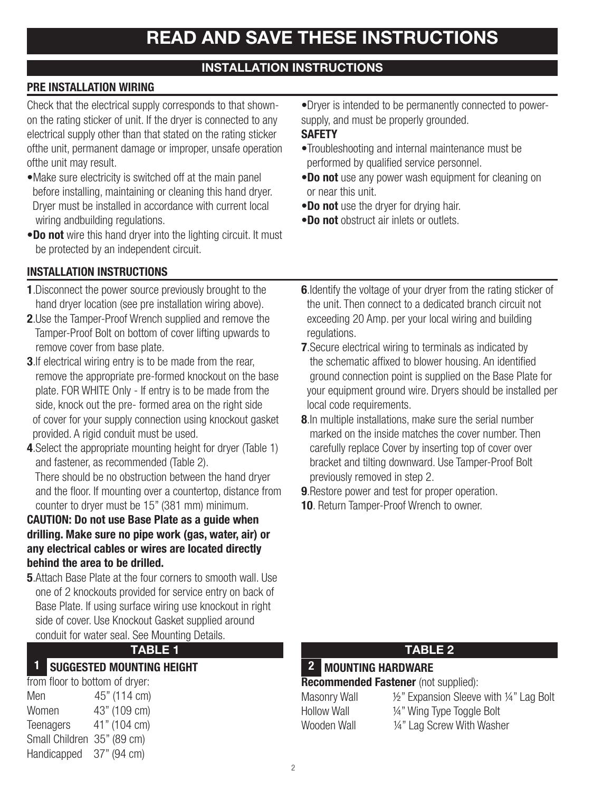### INSTALLATION INSTRUCTIONS

### PRE INSTALLATION WIRING

Check that the electrical supply corresponds to that shownon the rating sticker of unit. If the dryer is connected to any electrical supply other than that stated on the rating sticker ofthe unit, permanent damage or improper, unsafe operation ofthe unit may result.

- •Make sure electricity is switched off at the main panel before installing, maintaining or cleaning this hand dryer. Dryer must be installed in accordance with current local wiring and building regulations.
- •Do not wire this hand dryer into the lighting circuit. It must be protected by an independent circuit.

### INSTALLATION INSTRUCTIONS

- 1.Disconnect the power source previously brought to the hand dryer location (see pre installation wiring above).
- 2.Use the Tamper-Proof Wrench supplied and remove the Tamper-Proof Bolt on bottom of cover lifting upwards to remove cover from base plate.
- **3.** If electrical wiring entry is to be made from the rear, remove the appropriate pre-formed knockout on the base plate. FOR WHITE Only - If entry is to be made from the side, knock out the pre- formed area on the right side of cover for your supply connection using knockout gasket provided. A rigid conduit must be used.
- 4.Select the appropriate mounting height for dryer (Table 1) and fastener, as recommended (Table 2). There should be no obstruction between the hand dryer and the floor. If mounting over a countertop, distance from

### counter to dryer must be 15" (381 mm) minimum. CAUTION: Do not use Base Plate as a guide when drilling. Make sure no pipe work (gas, water, air) or any electrical cables or wires are located directly behind the area to be drilled.

5.Attach Base Plate at the four corners to smooth wall. Use one of 2 knockouts provided for service entry on back of Base Plate. If using surface wiring use knockout in right side of cover. Use Knockout Gasket supplied around conduit for water seal. See Mounting Details.

### 1 SUGGESTED MOUNTING HEIGHT **1** 2 MOUNTING HARDWARE

| from floor to bottom of dryer: |              |  |  |  |  |
|--------------------------------|--------------|--|--|--|--|
| Men                            | 45" (114 cm) |  |  |  |  |
| Women                          | 43" (109 cm) |  |  |  |  |
| Teenagers                      | 41" (104 cm) |  |  |  |  |
| Small Children                 | 35" (89 cm)  |  |  |  |  |
| Handicapped                    | 37" (94 cm)  |  |  |  |  |

•Dryer is intended to be permanently connected to powersupply, and must be properly grounded.

### **SAFETY**

- •Troubleshooting and internal maintenance must be performed by qualified service personnel.
- •Do not use any power wash equipment for cleaning on or near this unit.
- •Do not use the dryer for drying hair.
- Do not obstruct air inlets or outlets.
- **6.** Identify the voltage of your dryer from the rating sticker of the unit. Then connect to a dedicated branch circuit not exceeding 20 Amp. per your local wiring and building regulations.
- **7.** Secure electrical wiring to terminals as indicated by the schematic affixed to blower housing. An identified ground connection point is supplied on the Base Plate for your equipment ground wire. Dryers should be installed per local code requirements.
- 8.In multiple installations, make sure the serial number marked on the inside matches the cover number. Then carefully replace Cover by inserting top of cover over bracket and tilting downward. Use Tamper-Proof Bolt previously removed in step 2.
- **9.** Restore power and test for proper operation.
- 10. Return Tamper-Proof Wrench to owner.

### TABLE 1 TABLE 2

## 2 MOUNTING HARDWARE

### **Recommended Fastener** (not supplied):

- 
- Masonry Wall  $\frac{1}{2}$ " Expansion Sleeve with 1/4" Lag Bolt Hollow Wall  $\frac{1}{4}$ " Wing Type Toggle Bolt
- Wooden Wall  $\frac{1}{4}$ " Lag Screw With Washer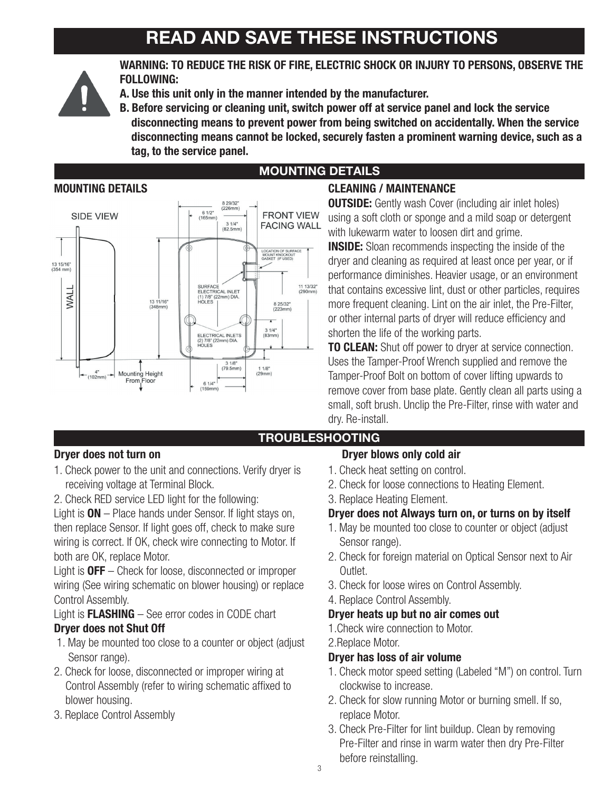# READ AND SAVE THESE INSTRUCTIONS



WARNING: TO REDUCE THE RISK OF FIRE, ELECTRIC SHOCK OR INJURY TO PERSONS, OBSERVE THE FOLLOWING:

- A. Use this unit only in the manner intended by the manufacturer.
- B. Before servicing or cleaning unit, switch power off at service panel and lock the service disconnecting means to prevent power from being switched on accidentally. When the service disconnecting means cannot be locked, securely fasten a prominent warning device, such as a tag, to the service panel.



# MOUNTING DETAILS

### MOUNTING DETAILS CLEANING / MAINTENANCE

**OUTSIDE:** Gently wash Cover (including air inlet holes) using a soft cloth or sponge and a mild soap or detergent with lukewarm water to loosen dirt and grime.

**INSIDE:** Sloan recommends inspecting the inside of the dryer and cleaning as required at least once per year, or if performance diminishes. Heavier usage, or an environment that contains excessive lint, dust or other particles, requires more frequent cleaning. Lint on the air inlet, the Pre-Filter, or other internal parts of dryer will reduce efficiency and shorten the life of the working parts.

**TO CLEAN:** Shut off power to drver at service connection. Uses the Tamper-Proof Wrench supplied and remove the Tamper-Proof Bolt on bottom of cover lifting upwards to remove cover from base plate. Gently clean all parts using a small, soft brush. Unclip the Pre-Filter, rinse with water and dry. Re-install.

### TROUBLESHOOTING

- 1. Check power to the unit and connections. Verify dryer is receiving voltage at Terminal Block.
- 2. Check RED service LED light for the following:

Light is  $ON$  – Place hands under Sensor. If light stays on, then replace Sensor. If light goes off, check to make sure wiring is correct. If OK, check wire connecting to Motor. If both are OK, replace Motor.

Light is **OFF** – Check for loose, disconnected or improper wiring (See wiring schematic on blower housing) or replace Control Assembly.

Light is FLASHING – See error codes in CODE chart Dryer does not Shut Off

- 1. May be mounted too close to a counter or object (adjust Sensor range).
- 2. Check for loose, disconnected or improper wiring at Control Assembly (refer to wiring schematic affixed to blower housing.
- 3. Replace Control Assembly

### Dryer does not turn on **Dryer blows** only cold air

- 1. Check heat setting on control.
- 2. Check for loose connections to Heating Element.
- 3. Replace Heating Element.

### Dryer does not Always turn on, or turns on by itself

- 1. May be mounted too close to counter or object (adjust Sensor range).
- 2. Check for foreign material on Optical Sensor next to Air Outlet.
- 3. Check for loose wires on Control Assembly.
- 4. Replace Control Assembly.

### Dryer heats up but no air comes out

1.Check wire connection to Motor.

### 2.Replace Motor.

### Dryer has loss of air volume

- 1. Check motor speed setting (Labeled "M") on control. Turn clockwise to increase.
- 2. Check for slow running Motor or burning smell. If so, replace Motor.
- 3. Check Pre-Filter for lint buildup. Clean by removing Pre-Filter and rinse in warm water then dry Pre-Filter before reinstalling.